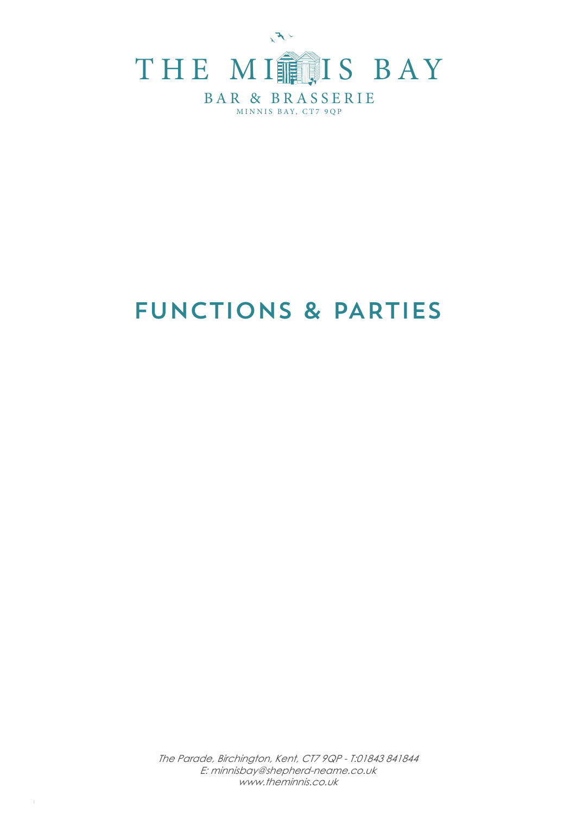

# FUNCTIONS & PARTIES

The Parade, Birchington, Kent, CT7 9QP - T:01843 841844 E: minnisbay@shepherd-neame.co.uk www.theminnis.co.uk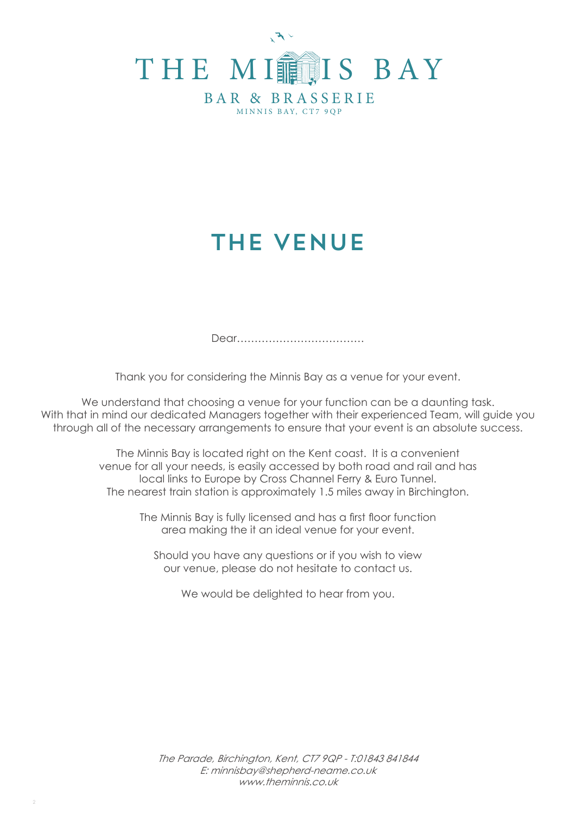

# THE VENUE

Dear………………………………

Thank you for considering the Minnis Bay as a venue for your event.

We understand that choosing a venue for your function can be a daunting task. With that in mind our dedicated Managers together with their experienced Team, will guide you through all of the necessary arrangements to ensure that your event is an absolute success.

> The Minnis Bay is located right on the Kent coast. It is a convenient venue for all your needs, is easily accessed by both road and rail and has local links to Europe by Cross Channel Ferry & Euro Tunnel. The nearest train station is approximately 1.5 miles away in Birchington.

> > The Minnis Bay is fully licensed and has a first floor function area making the it an ideal venue for your event.

Should you have any questions or if you wish to view our venue, please do not hesitate to contact us.

We would be delighted to hear from you.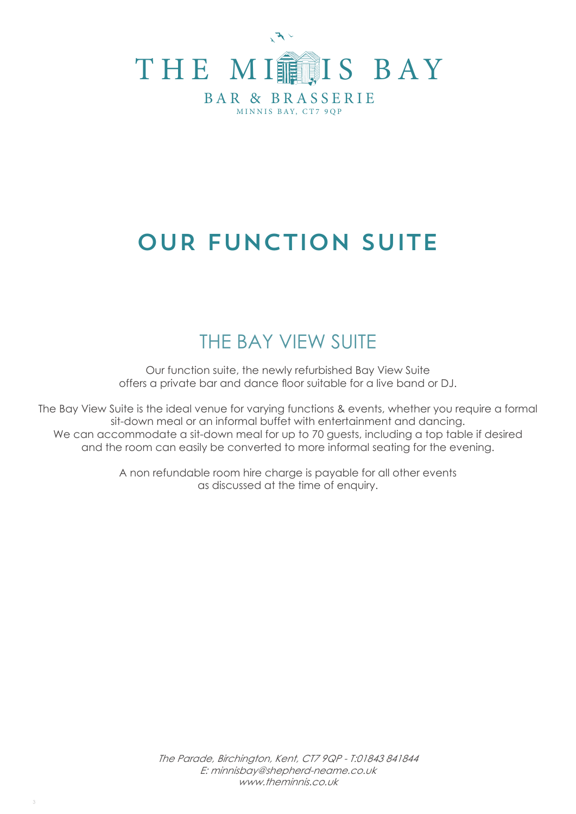

# OUR FUNCTION SUITE

# THE BAY VIEW SUITE

Our function suite, the newly refurbished Bay View Suite offers a private bar and dance floor suitable for a live band or DJ.

The Bay View Suite is the ideal venue for varying functions & events, whether you require a formal sit-down meal or an informal buffet with entertainment and dancing. We can accommodate a sit-down meal for up to 70 guests, including a top table if desired and the room can easily be converted to more informal seating for the evening.

> A non refundable room hire charge is payable for all other events as discussed at the time of enquiry.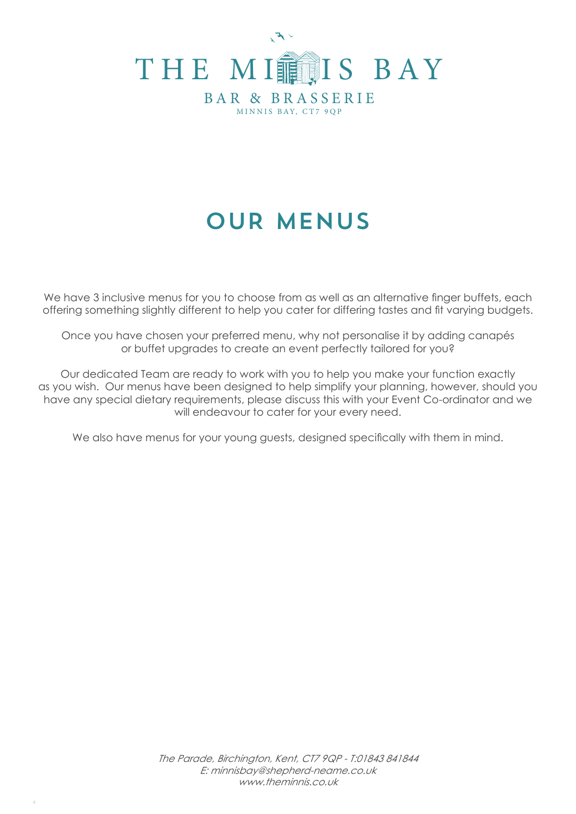

# OUR MENUS

We have 3 inclusive menus for you to choose from as well as an alternative finger buffets, each offering something slightly different to help you cater for differing tastes and fit varying budgets.

Once you have chosen your preferred menu, why not personalise it by adding canapés or buffet upgrades to create an event perfectly tailored for you?

Our dedicated Team are ready to work with you to help you make your function exactly as you wish. Our menus have been designed to help simplify your planning, however, should you have any special dietary requirements, please discuss this with your Event Co-ordinator and we will endeavour to cater for your every need.

We also have menus for your young guests, designed specifically with them in mind.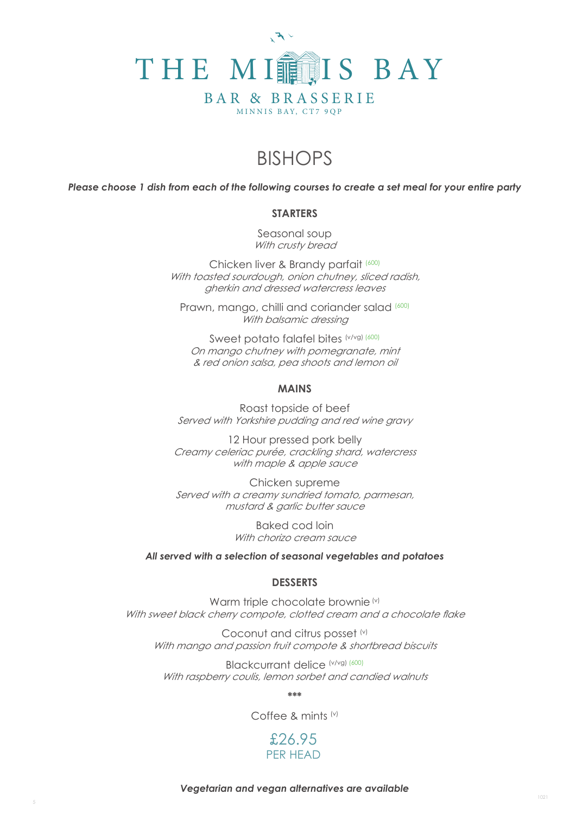

# BISHOPS

*Please choose 1 dish from each of the following courses to create a set meal for your entire party*

### **STARTERS**

Seasonal soup With crusty bread

Chicken liver & Brandy parfait (600) With toasted sourdough, onion chutney, sliced radish, gherkin and dressed watercress leaves

Prawn, mango, chilli and coriander salad (600) With balsamic dressing

Sweet potato falafel bites (v/vg) (600) On mango chutney with pomegranate, mint & red onion salsa, pea shoots and lemon oil

### **MAINS**

Roast topside of beef Served with Yorkshire pudding and red wine gravy

12 Hour pressed pork belly Creamy celeriac purée, crackling shard, watercress with maple & apple sauce

Chicken supreme Served with a creamy sundried tomato, parmesan, mustard & garlic butter sauce

> Baked cod loin With chorizo cream sauce

#### *All served with a selection of seasonal vegetables and potatoes*

### **DESSERTS**

Warm triple chocolate brownie (v) With sweet black cherry compote, clotted cream and a chocolate flake

Coconut and citrus posset (v) With mango and passion fruit compote & shortbread biscuits

Blackcurrant delice (v/vg) (600) With raspberry coulis, lemon sorbet and candied walnuts

**\*\*\***

Coffee & mints (v)

£26.95 PER HEAD

*Vegetarian and vegan alternatives are available*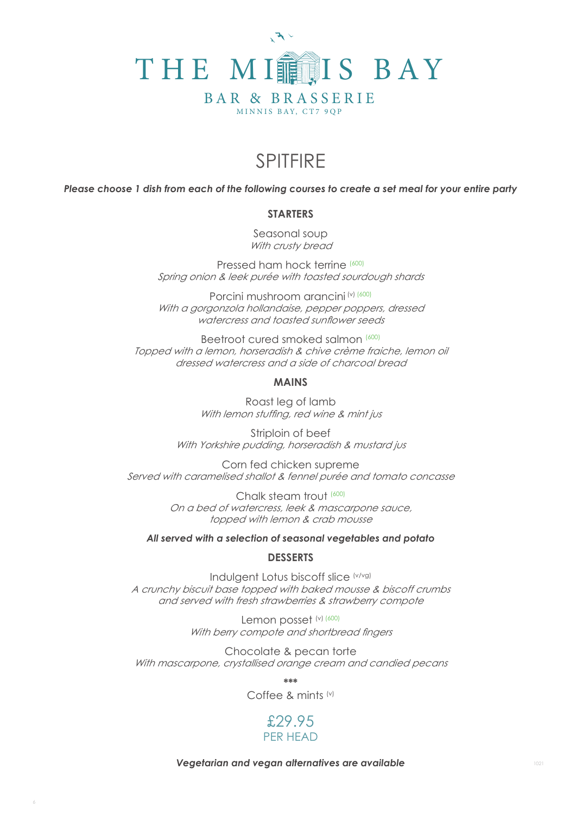

## SPITFIRE

*Please choose 1 dish from each of the following courses to create a set meal for your entire party*

### **STARTERS**

Seasonal soup With crusty bread

Pressed ham hock terrine (600) Spring onion & leek purée with toasted sourdough shards

Porcini mushroom arancini (v) (600) With a gorgonzola hollandaise, pepper poppers, dressed watercress and toasted sunflower seeds

Beetroot cured smoked salmon (600) Topped with a lemon, horseradish & chive crème fraiche, lemon oil dressed watercress and a side of charcoal bread

### **MAINS**

Roast leg of lamb With lemon stuffing, red wine & mint jus

Striploin of beef With Yorkshire pudding, horseradish & mustard jus

Corn fed chicken supreme Served with caramelised shallot & fennel purée and tomato concasse

> Chalk steam trout (600) On a bed of watercress, leek & mascarpone sauce, topped with lemon & crab mousse

*All served with a selection of seasonal vegetables and potato*

### **DESSERTS**

Indulgent Lotus biscoff slice (v/vg) A crunchy biscuit base topped with baked mousse & biscoff crumbs and served with fresh strawberries & strawberry compote

> Lemon posset (v) (600) With berry compote and shortbread fingers

Chocolate & pecan torte With mascarpone, crystallised orange cream and candied pecans

**\*\*\*** 

Coffee & mints (v)

## **PER HEAD** PER HEAD£29.95

*Vegetarian and vegan alternatives are available*

1021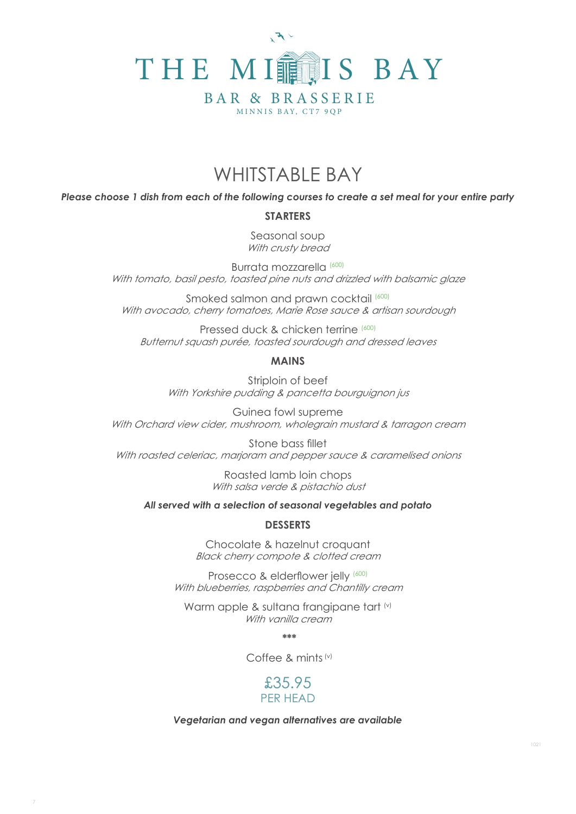

## WHITSTABLE BAY

*Please choose 1 dish from each of the following courses to create a set meal for your entire party*

### **STARTERS**

Seasonal soup With crusty bread

Burrata mozzarella (600) With tomato, basil pesto, toasted pine nuts and drizzled with balsamic glaze

Smoked salmon and prawn cocktail (600) With avocado, cherry tomatoes, Marie Rose sauce & artisan sourdough

Pressed duck & chicken terrine (600) Butternut squash purée, toasted sourdough and dressed leaves

### **MAINS**

Striploin of beef With Yorkshire pudding & pancetta bourguignon jus

Guinea fowl supreme With Orchard view cider, mushroom, wholegrain mustard & tarragon cream

Stone bass fillet With roasted celeriac, marjoram and pepper sauce & caramelised onions

> Roasted lamb loin chops With salsa verde & pistachio dust

*All served with a selection of seasonal vegetables and potato*

### **DESSERTS**

Chocolate & hazelnut croquant Black cherry compote & clotted cream

Prosecco & elderflower jelly (600) With blueberries, raspberries and Chantilly cream

Warm apple & sultana frangipane tart (v) With vanilla cream

 **\*\*\***

Coffee & mints (v)



#### *Vegetarian and vegan alternatives are available*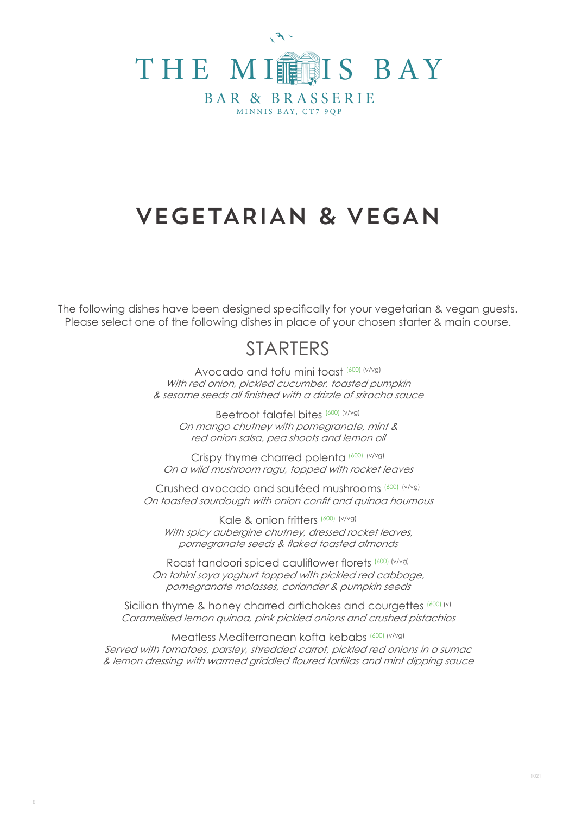

# VEGETARIAN & VEGAN

The following dishes have been designed specifically for your vegetarian & vegan guests. Please select one of the following dishes in place of your chosen starter & main course.

## **STARTERS**

Avocado and tofu mini toast (600) (v/vg) With red onion, pickled cucumber, toasted pumpkin & sesame seeds all finished with a drizzle of sriracha sauce

Beetroot falafel bites (600) (v/vg) On mango chutney with pomegranate, mint & red onion salsa, pea shoots and lemon oil

Crispy thyme charred polenta (600) (v/vg) On a wild mushroom ragu, topped with rocket leaves

Crushed avocado and sautéed mushrooms (600) (v/vg) On toasted sourdough with onion confit and quinoa houmous

Kale & onion fritters (600) (v/vg) With spicy aubergine chutney, dressed rocket leaves, pomegranate seeds & flaked toasted almonds

Roast tandoori spiced cauliflower florets (600) (v/vg) On tahini soya yoghurt topped with pickled red cabbage, pomegranate molasses, coriander & pumpkin seeds

Sicilian thyme & honey charred artichokes and courgettes (600) (v) Caramelised lemon quinoa, pink pickled onions and crushed pistachios

Meatless Mediterranean kofta kebabs (600) (v/vg) Served with tomatoes, parsley, shredded carrot, pickled red onions in a sumac & lemon dressing with warmed griddled floured tortillas and mint dipping sauce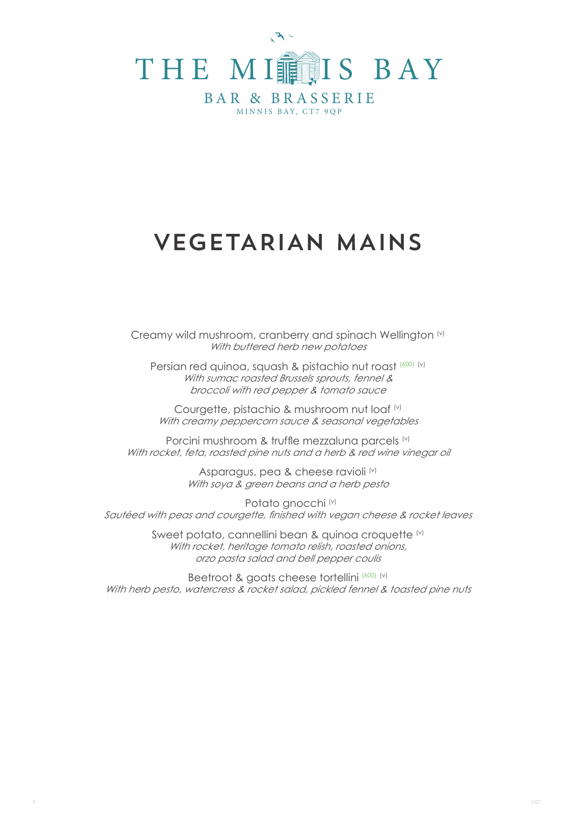

# VEGETARIAN MAINS

Creamy wild mushroom, cranberry and spinach Wellington (v) With buttered herb new potatoes

Persian red quinoa, squash & pistachio nut roast (600) (v) With sumac roasted Brussels sprouts, fennel & broccoli with red pepper & tomato sauce

Courgette, pistachio & mushroom nut loaf (v) With creamy peppercorn sauce & seasonal vegetables

Porcini mushroom & truffle mezzaluna parcels (v) With rocket, feta, roasted pine nuts and a herb & red wine vinegar oil

> Asparagus, pea & cheese ravioli<sup>(v)</sup> With soya & green beans and a herb pesto

Potato gnocchi (v) Sautéed with peas and courgette, finished with vegan cheese & rocket leaves

> Sweet potato, cannellini bean & quinoa croquette (v) With rocket, heritage tomato relish, roasted onions, orzo pasta salad and bell pepper coulis

Beetroot & goats cheese tortellini (600) (v) With herb pesto, watercress & rocket salad, pickled fennel & toasted pine nuts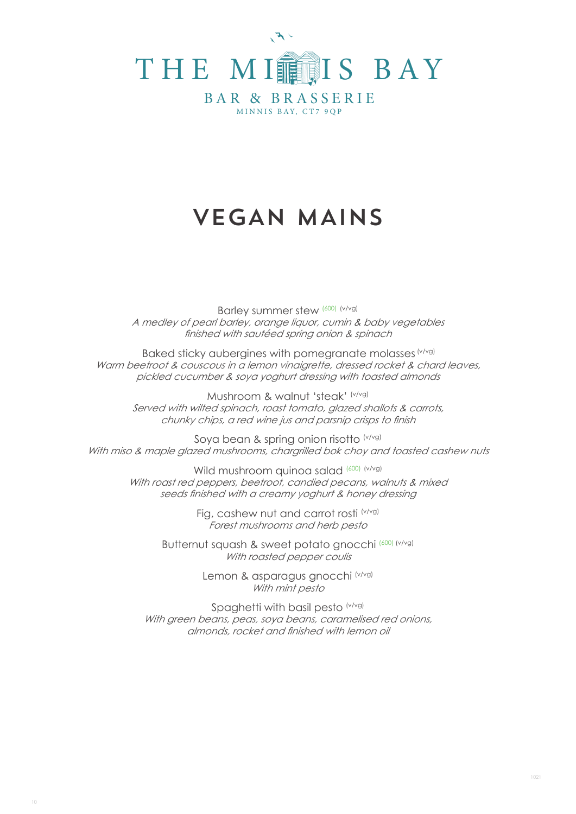

# VEGAN MAINS

Barley summer stew (600) (v/vg) A medley of pearl barley, orange liquor, cumin & baby vegetables finished with sautéed spring onion & spinach

Baked sticky aubergines with pomegranate molasses (v/vg) Warm beetroot & couscous in a lemon vinaigrette, dressed rocket & chard leaves, pickled cucumber & soya yoghurt dressing with toasted almonds

Mushroom & walnut 'steak' (v/vg) Served with wilted spinach, roast tomato, glazed shallots & carrots, chunky chips, a red wine jus and parsnip crisps to finish

Soya bean & spring onion risotto (v/vg) With miso & maple glazed mushrooms, chargrilled bok choy and toasted cashew nuts

Wild mushroom quinoa salad (600) (v/vg) With roast red peppers, beetroot, candied pecans, walnuts & mixed seeds finished with a creamy yoghurt & honey dressing

> Fig, cashew nut and carrot rosti (v/vg) Forest mushrooms and herb pesto

Butternut squash & sweet potato gnocchi (600) (v/vg) With roasted pepper coulis

> Lemon & asparagus gnocchi (v/vg) With mint pesto

Spaghetti with basil pesto (v/vg) With green beans, peas, soya beans, caramelised red onions, almonds, rocket and finished with lemon oil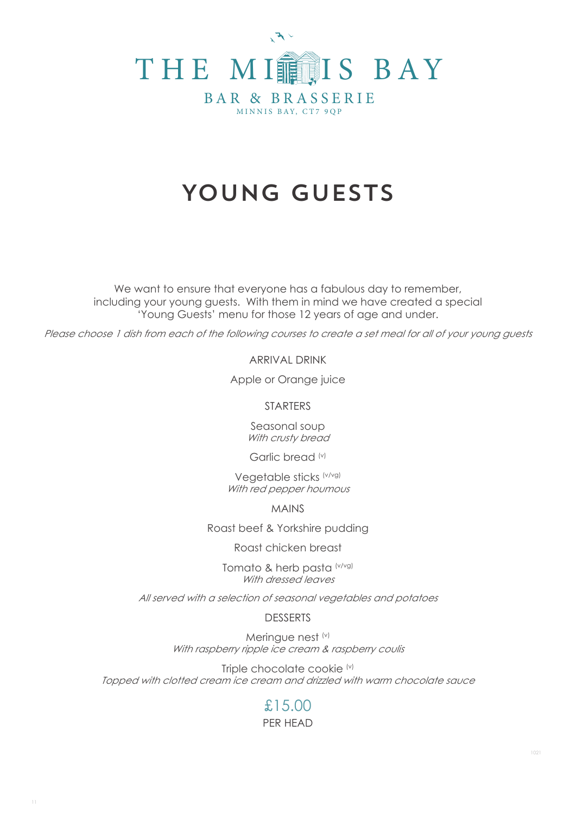

# YOUNG GUESTS

We want to ensure that everyone has a fabulous day to remember, including your young guests. With them in mind we have created a special 'Young Guests' menu for those 12 years of age and under.

Please choose 1 dish from each of the following courses to create a set meal for all of your young guests

ARRIVAL DRINK

Apple or Orange juice

STARTERS

Seasonal soup With crusty bread

Garlic bread (v)

Vegetable sticks (v/vg) With red pepper houmous

MAINS

Roast beef & Yorkshire pudding

Roast chicken breast

Tomato & herb pasta (v/vg) With dressed leaves

All served with a selection of seasonal vegetables and potatoes

DESSERTS

Meringue nest (v) With raspberry ripple ice cream & raspberry coulis

Triple chocolate cookie (v) Topped with clotted cream ice cream and drizzled with warm chocolate sauce

### PER HEAD £15.00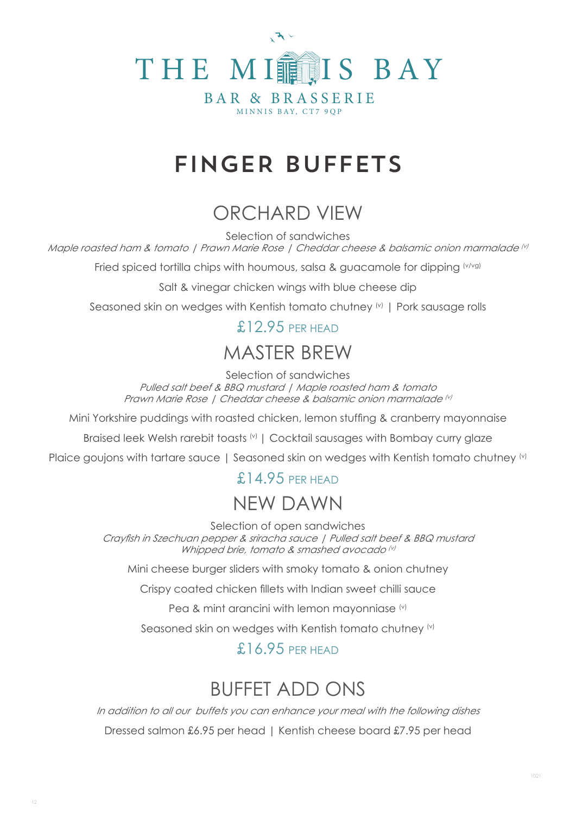

# FINGER BUFFETS

# ORCHARD VIEW

Selection of sandwiches

Maple roasted ham & tomato | Prawn Marie Rose | Cheddar cheese & balsamic onion marmalade (v)

Fried spiced tortilla chips with houmous, salsa & guacamole for dipping (v/vg)

Salt & vinegar chicken wings with blue cheese dip

Seasoned skin on wedges with Kentish tomato chutney <sup>(v)</sup> | Pork sausage rolls

## £12.95 PER HEAD

## MASTER BREW

Selection of sandwiches Pulled salt beef & BBQ mustard | Maple roasted ham & tomato Prawn Marie Rose | Cheddar cheese & balsamic onion marmalade (v)

Mini Yorkshire puddings with roasted chicken, lemon stuffing & cranberry mayonnaise

Braised leek Welsh rarebit toasts (v) | Cocktail sausages with Bombay curry glaze

Plaice goujons with tartare sauce | Seasoned skin on wedges with Kentish tomato chutney (v)

## £14.95 PFR HFAD

## NEW DAWN

Selection of open sandwiches

Crayfish in Szechuan pepper & sriracha sauce | Pulled salt beef & BBQ mustard Whipped brie, tomato & smashed avocado (v)

Mini cheese burger sliders with smoky tomato & onion chutney

Crispy coated chicken fillets with Indian sweet chilli sauce

Pea & mint arancini with lemon mayonniase (v)

Seasoned skin on wedges with Kentish tomato chutney (v)

## £16.95 PFR HFAD

# BUFFET ADD ONS

In addition to all our buffets you can enhance your meal with the following dishes Dressed salmon £6.95 per head | Kentish cheese board £7.95 per head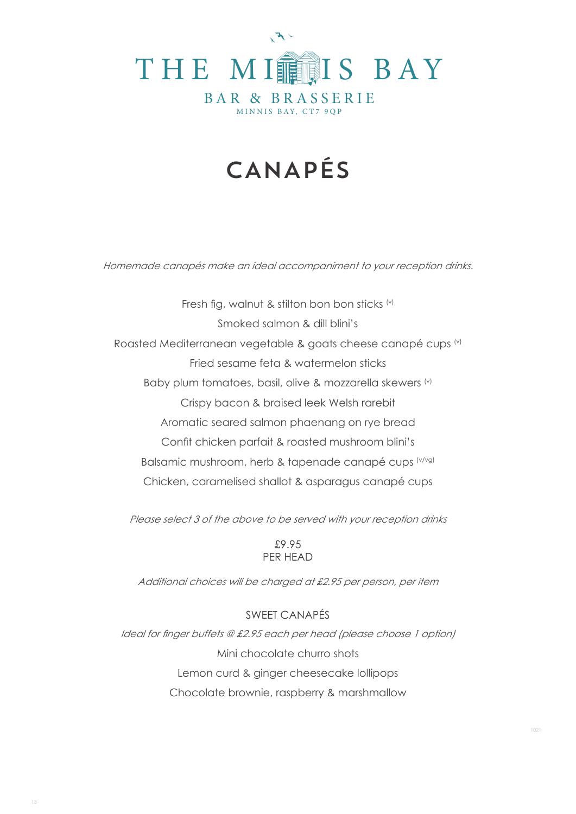

# CANAPÉS

Homemade canapés make an ideal accompaniment to your reception drinks.

Fresh fig, walnut & stilton bon bon sticks  $(v)$ Smoked salmon & dill blini's Roasted Mediterranean vegetable & goats cheese canapé cups (v) Fried sesame feta & watermelon sticks Baby plum tomatoes, basil, olive & mozzarella skewers (v) Crispy bacon & braised leek Welsh rarebit Aromatic seared salmon phaenang on rye bread Confit chicken parfait & roasted mushroom blini's Balsamic mushroom, herb & tapenade canapé cups (v/vg) Chicken, caramelised shallot & asparagus canapé cups

Please select 3 of the above to be served with your reception drinks

£9.95 PER HEAD

Additional choices will be charged at £2.95 per person, per item

SWEET CANAPÉS Ideal for finger buffets @ £2.95 each per head (please choose 1 option) Mini chocolate churro shots Lemon curd & ginger cheesecake lollipops Chocolate brownie, raspberry & marshmallow

13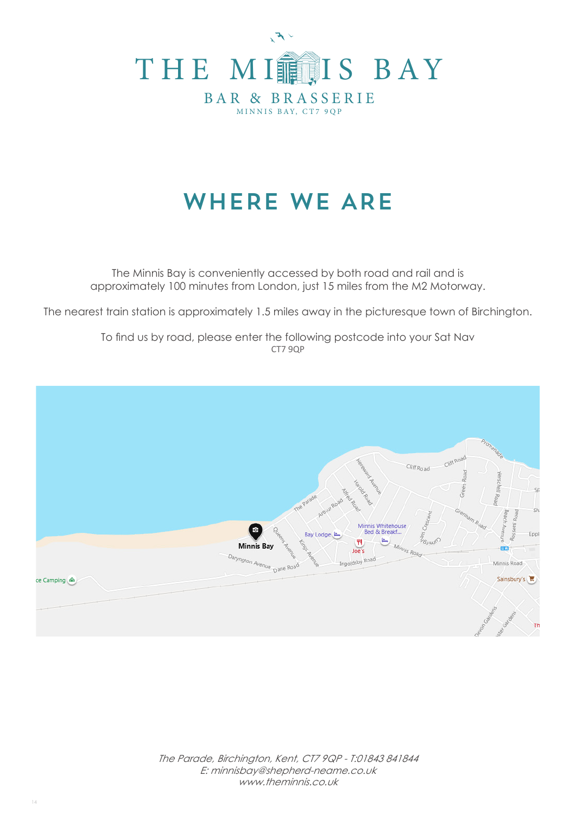

# WHERE WE ARE

The Minnis Bay is conveniently accessed by both road and rail and is approximately 100 minutes from London, just 15 miles from the M2 Motorway.

The nearest train station is approximately 1.5 miles away in the picturesque town of Birchington.

To find us by road, please enter the following postcode into your Sat Nav CT7 9QP

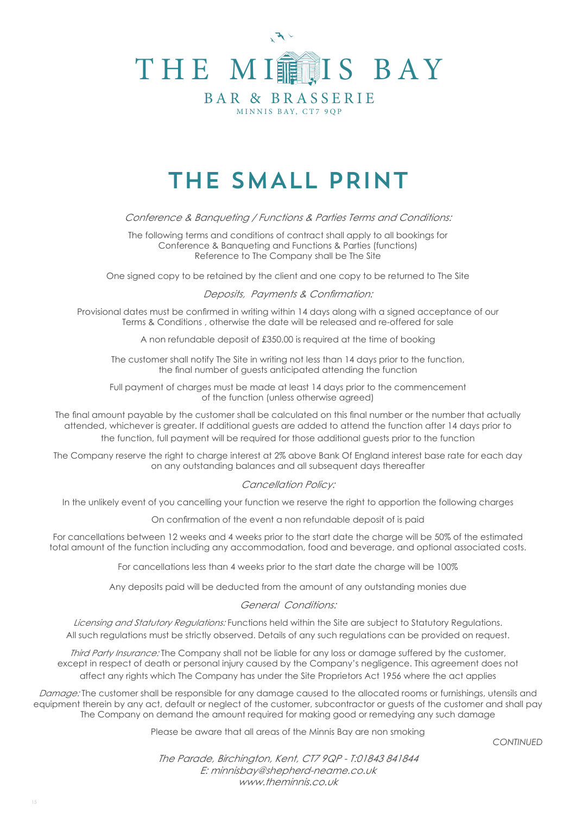

# THE SMALL PRINT

Conference & Banqueting / Functions & Parties Terms and Conditions:

The following terms and conditions of contract shall apply to all bookings for Conference & Banqueting and Functions & Parties (functions) Reference to The Company shall be The Site

One signed copy to be retained by the client and one copy to be returned to The Site

Deposits, Payments & Confirmation:

Provisional dates must be confirmed in writing within 14 days along with a signed acceptance of our Terms & Conditions , otherwise the date will be released and re-offered for sale

A non refundable deposit of £350.00 is required at the time of booking

The customer shall notify The Site in writing not less than 14 days prior to the function, the final number of guests anticipated attending the function

Full payment of charges must be made at least 14 days prior to the commencement of the function (unless otherwise agreed)

The final amount payable by the customer shall be calculated on this final number or the number that actually attended, whichever is greater. If additional guests are added to attend the function after 14 days prior to the function, full payment will be required for those additional guests prior to the function

The Company reserve the right to charge interest at 2% above Bank Of England interest base rate for each day on any outstanding balances and all subsequent days thereafter

### Cancellation Policy:

In the unlikely event of you cancelling your function we reserve the right to apportion the following charges

On confirmation of the event a non refundable deposit of is paid

For cancellations between 12 weeks and 4 weeks prior to the start date the charge will be 50% of the estimated total amount of the function including any accommodation, food and beverage, and optional associated costs.

For cancellations less than 4 weeks prior to the start date the charge will be 100%

Any deposits paid will be deducted from the amount of any outstanding monies due

### General Conditions:

Licensing and Statutory Regulations: Functions held within the Site are subject to Statutory Regulations. All such regulations must be strictly observed. Details of any such regulations can be provided on request.

Third Party Insurance: The Company shall not be liable for any loss or damage suffered by the customer, except in respect of death or personal injury caused by the Company's negligence. This agreement does not affect any rights which The Company has under the Site Proprietors Act 1956 where the act applies

Damage: The customer shall be responsible for any damage caused to the allocated rooms or furnishings, utensils and equipment therein by any act, default or neglect of the customer, subcontractor or guests of the customer and shall pay The Company on demand the amount required for making good or remedying any such damage

Please be aware that all areas of the Minnis Bay are non smoking

*CONTINUED*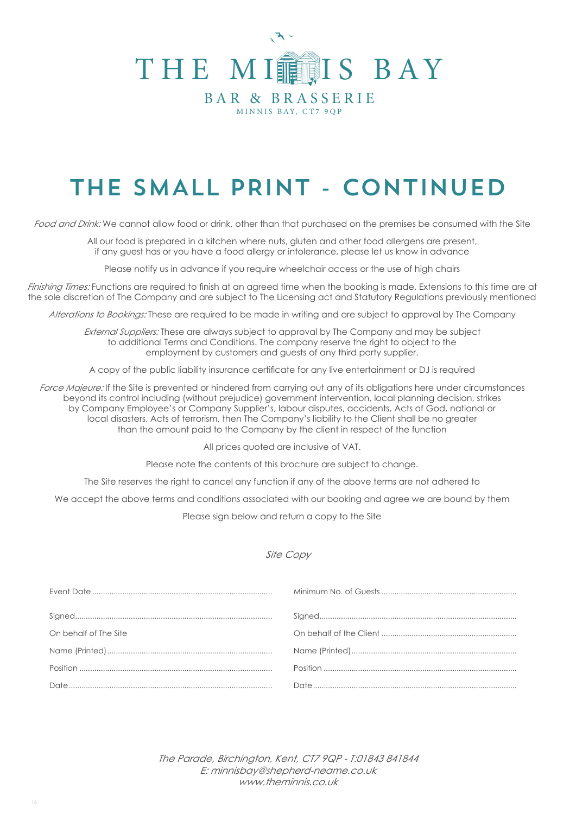

# THE SMALL PRINT - CONTINUED

Food and Drink: We cannot allow food or drink, other than that purchased on the premises be consumed with the Site

All our food is prepared in a kitchen where nuts, gluten and other food allergens are present, if any guest has or you have a food allergy or intolerance, please let us know in advance

Please notify us in advance if you require wheelchair access or the use of high chairs

Finishing Times: Functions are required to finish at an agreed time when the booking is made. Extensions to this time are at the sole discretion of The Company and are subject to The Licensing act and Statutory Regulations previously mentioned

Alterations to Bookings: These are required to be made in writing and are subject to approval by The Company

External Suppliers: These are always subject to approval by The Company and may be subject to additional Terms and Conditions. The company reserve the right to object to the employment by customers and guests of any third party supplier.

A copy of the public liability insurance certificate for any live entertainment or DJ is required

Force Majeure: If the Site is prevented or hindered from carrying out any of its obligations here under circumstances beyond its control including (without prejudice) government intervention, local planning decision, strikes by Company Employee's or Company Supplier's, labour disputes, accidents, Acts of God, national or local disasters, Acts of terrorism, then The Company's liability to the Client shall be no greater than the amount paid to the Company by the client in respect of the function

All prices quoted are inclusive of VAT.

Please note the contents of this brochure are subject to change.

The Site reserves the right to cancel any function if any of the above terms are not adhered to

We accept the above terms and conditions associated with our booking and agree we are bound by them

Please sign below and return a copy to the Site

### Site Copy

| On behalf of The Site |            |
|-----------------------|------------|
|                       |            |
|                       | $Position$ |
|                       |            |
|                       |            |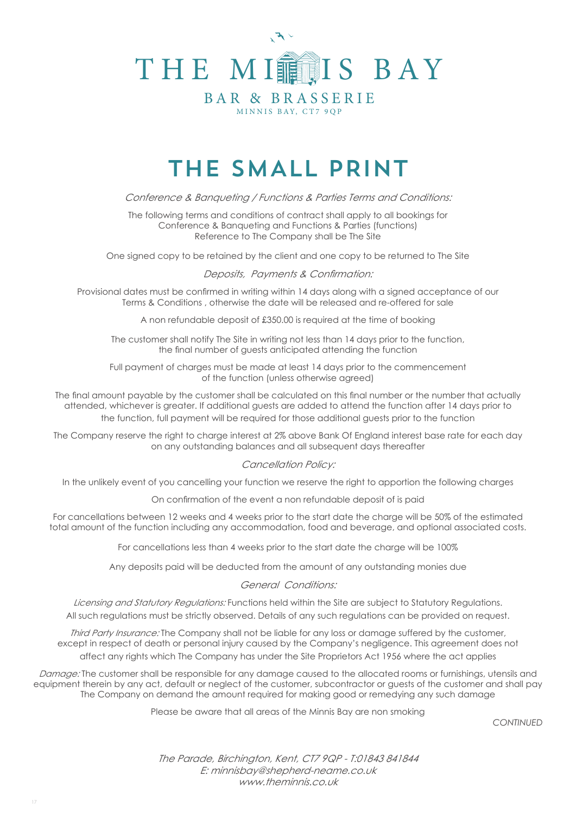

# THE SMALL PRINT

Conference & Banqueting / Functions & Parties Terms and Conditions:

The following terms and conditions of contract shall apply to all bookings for Conference & Banqueting and Functions & Parties (functions) Reference to The Company shall be The Site

One signed copy to be retained by the client and one copy to be returned to The Site

#### Deposits, Payments & Confirmation:

Provisional dates must be confirmed in writing within 14 days along with a signed acceptance of our Terms & Conditions , otherwise the date will be released and re-offered for sale

A non refundable deposit of £350.00 is required at the time of booking

The customer shall notify The Site in writing not less than 14 days prior to the function, the final number of guests anticipated attending the function

Full payment of charges must be made at least 14 days prior to the commencement of the function (unless otherwise agreed)

The final amount payable by the customer shall be calculated on this final number or the number that actually attended, whichever is greater. If additional guests are added to attend the function after 14 days prior to the function, full payment will be required for those additional guests prior to the function

The Company reserve the right to charge interest at 2% above Bank Of England interest base rate for each day on any outstanding balances and all subsequent days thereafter

#### Cancellation Policy:

In the unlikely event of you cancelling your function we reserve the right to apportion the following charges

On confirmation of the event a non refundable deposit of is paid

For cancellations between 12 weeks and 4 weeks prior to the start date the charge will be 50% of the estimated total amount of the function including any accommodation, food and beverage, and optional associated costs.

For cancellations less than 4 weeks prior to the start date the charge will be 100%

Any deposits paid will be deducted from the amount of any outstanding monies due

#### General Conditions:

Licensing and Statutory Regulations: Functions held within the Site are subject to Statutory Regulations. All such regulations must be strictly observed. Details of any such regulations can be provided on request.

Third Party Insurance: The Company shall not be liable for any loss or damage suffered by the customer, except in respect of death or personal injury caused by the Company's negligence. This agreement does not affect any rights which The Company has under the Site Proprietors Act 1956 where the act applies

Damage: The customer shall be responsible for any damage caused to the allocated rooms or furnishings, utensils and equipment therein by any act, default or neglect of the customer, subcontractor or guests of the customer and shall pay The Company on demand the amount required for making good or remedying any such damage

Please be aware that all areas of the Minnis Bay are non smoking

*CONTINUED*